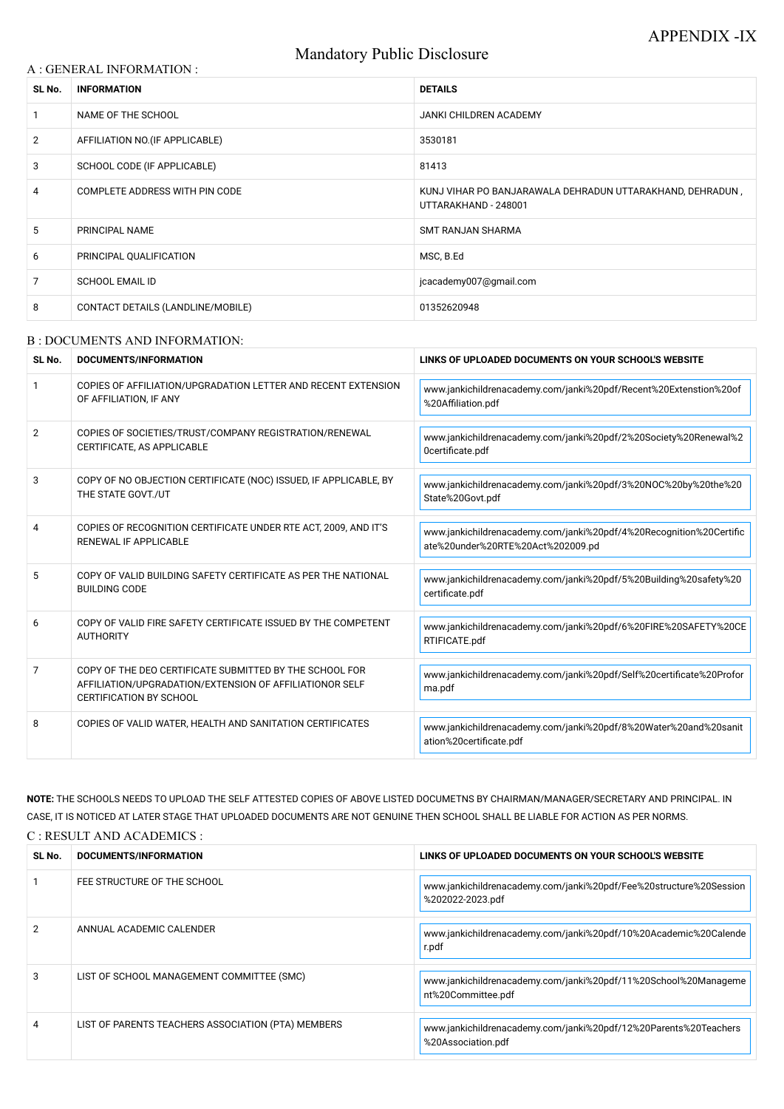# Mandatory Public Disclosure

### A : GENERAL INFORMATION :

| SL No.         | <b>INFORMATION</b>                | <b>DETAILS</b>                                                                    |  |
|----------------|-----------------------------------|-----------------------------------------------------------------------------------|--|
|                | NAME OF THE SCHOOL                | JANKI CHILDREN ACADEMY                                                            |  |
| $\overline{2}$ | AFFILIATION NO. (IF APPLICABLE)   | 3530181                                                                           |  |
| 3              | SCHOOL CODE (IF APPLICABLE)       | 81413                                                                             |  |
| 4              | COMPLETE ADDRESS WITH PIN CODE    | KUNJ VIHAR PO BANJARAWALA DEHRADUN UTTARAKHAND, DEHRADUN,<br>UTTARAKHAND - 248001 |  |
| 5              | PRINCIPAL NAME                    | <b>SMT RANJAN SHARMA</b>                                                          |  |
| 6              | PRINCIPAL QUALIFICATION           | MSC, B.Ed                                                                         |  |
| 7              | <b>SCHOOL EMAIL ID</b>            | jcacademy007@gmail.com                                                            |  |
| 8              | CONTACT DETAILS (LANDLINE/MOBILE) | 01352620948                                                                       |  |

#### B : DOCUMENTS AND INFORMATION:

| SL No.         | DOCUMENTS/INFORMATION                                                                                                                                | LINKS OF UPLOADED DOCUMENTS ON YOUR SCHOOL'S WEBSITE                                                     |  |
|----------------|------------------------------------------------------------------------------------------------------------------------------------------------------|----------------------------------------------------------------------------------------------------------|--|
|                | COPIES OF AFFILIATION/UPGRADATION LETTER AND RECENT EXTENSION<br>OF AFFILIATION, IF ANY                                                              | www.jankichildrenacademy.com/janki%20pdf/Recent%20Extenstion%20of<br>%20Affiliation.pdf                  |  |
| $\overline{2}$ | COPIES OF SOCIETIES/TRUST/COMPANY REGISTRATION/RENEWAL<br>CERTIFICATE, AS APPLICABLE                                                                 | www.jankichildrenacademy.com/janki%20pdf/2%20Society%20Renewal%2<br>Ocertificate.pdf                     |  |
| 3              | COPY OF NO OBJECTION CERTIFICATE (NOC) ISSUED, IF APPLICABLE, BY<br>THE STATE GOVT./UT                                                               | www.jankichildrenacademy.com/janki%20pdf/3%20NOC%20by%20the%20<br>State%20Govt.pdf                       |  |
| 4              | COPIES OF RECOGNITION CERTIFICATE UNDER RTE ACT, 2009, AND IT'S<br><b>RENEWAL IF APPLICABLE</b>                                                      | www.jankichildrenacademy.com/janki%20pdf/4%20Recognition%20Certific<br>ate%20under%20RTE%20Act%202009.pd |  |
| 5              | COPY OF VALID BUILDING SAFETY CERTIFICATE AS PER THE NATIONAL<br><b>BUILDING CODE</b>                                                                | www.jankichildrenacademy.com/janki%20pdf/5%20Building%20safety%20<br>certificate.pdf                     |  |
| 6              | COPY OF VALID FIRE SAFETY CERTIFICATE ISSUED BY THE COMPETENT<br><b>AUTHORITY</b>                                                                    | www.jankichildrenacademy.com/janki%20pdf/6%20FIRE%20SAFETY%20CE<br>RTIFICATE.pdf                         |  |
| 7              | COPY OF THE DEO CERTIFICATE SUBMITTED BY THE SCHOOL FOR<br>AFFILIATION/UPGRADATION/EXTENSION OF AFFILIATIONOR SELF<br><b>CERTIFICATION BY SCHOOL</b> | www.jankichildrenacademy.com/janki%20pdf/Self%20certificate%20Profor<br>ma.pdf                           |  |
| 8              | COPIES OF VALID WATER, HEALTH AND SANITATION CERTIFICATES                                                                                            | www.jankichildrenacademy.com/janki%20pdf/8%20Water%20and%20sanit<br>ation%20certificate.pdf              |  |

**NOTE:** THE SCHOOLS NEEDS TO UPLOAD THE SELF ATTESTED COPIES OF ABOVE LISTED DOCUMETNS BY CHAIRMAN/MANAGER/SECRETARY AND PRINCIPAL. IN CASE, IT IS NOTICED AT LATER STAGE THAT UPLOADED DOCUMENTS ARE NOT GENUINE THEN SCHOOL SHALL BE LIABLE FOR ACTION AS PER NORMS. C : RESULT AND ACADEMICS :

| SL No. | DOCUMENTS/INFORMATION                              | LINKS OF UPLOADED DOCUMENTS ON YOUR SCHOOL'S WEBSITE                                   |
|--------|----------------------------------------------------|----------------------------------------------------------------------------------------|
|        | FEE STRUCTURE OF THE SCHOOL                        | www.jankichildrenacademy.com/janki%20pdf/Fee%20structure%20Session<br>%202022-2023.pdf |
|        | ANNUAL ACADEMIC CALENDER                           | www.jankichildrenacademy.com/janki%20pdf/10%20Academic%20Calende<br>r.pdf              |
| 3      | LIST OF SCHOOL MANAGEMENT COMMITTEE (SMC)          | www.jankichildrenacademy.com/janki%20pdf/11%20School%20Manageme<br>nt%20Committee.pdf  |
|        | LIST OF PARENTS TEACHERS ASSOCIATION (PTA) MEMBERS | www.jankichildrenacademy.com/janki%20pdf/12%20Parents%20Teachers<br>%20Association.pdf |